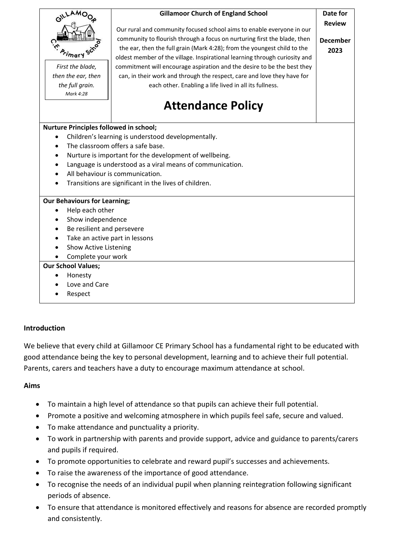

#### **Introduction**

We believe that every child at Gillamoor CE Primary School has a fundamental right to be educated with good attendance being the key to personal development, learning and to achieve their full potential. Parents, carers and teachers have a duty to encourage maximum attendance at school.

#### **Aims**

- To maintain a high level of attendance so that pupils can achieve their full potential.
- Promote a positive and welcoming atmosphere in which pupils feel safe, secure and valued.
- To make attendance and punctuality a priority.
- To work in partnership with parents and provide support, advice and guidance to parents/carers and pupils if required.
- To promote opportunities to celebrate and reward pupil's successes and achievements.
- To raise the awareness of the importance of good attendance.
- To recognise the needs of an individual pupil when planning reintegration following significant periods of absence.
- To ensure that attendance is monitored effectively and reasons for absence are recorded promptly and consistently.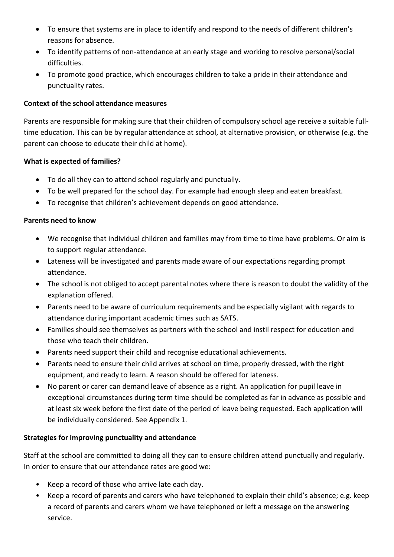- To ensure that systems are in place to identify and respond to the needs of different children's reasons for absence.
- To identify patterns of non-attendance at an early stage and working to resolve personal/social difficulties.
- To promote good practice, which encourages children to take a pride in their attendance and punctuality rates.

### **Context of the school attendance measures**

Parents are responsible for making sure that their children of compulsory school age receive a suitable fulltime education. This can be by regular attendance at school, at alternative provision, or otherwise (e.g. the parent can choose to educate their child at home).

### **What is expected of families?**

- To do all they can to attend school regularly and punctually.
- To be well prepared for the school day. For example had enough sleep and eaten breakfast.
- To recognise that children's achievement depends on good attendance.

### **Parents need to know**

- We recognise that individual children and families may from time to time have problems. Or aim is to support regular attendance.
- Lateness will be investigated and parents made aware of our expectations regarding prompt attendance.
- The school is not obliged to accept parental notes where there is reason to doubt the validity of the explanation offered.
- Parents need to be aware of curriculum requirements and be especially vigilant with regards to attendance during important academic times such as SATS.
- Families should see themselves as partners with the school and instil respect for education and those who teach their children.
- Parents need support their child and recognise educational achievements.
- Parents need to ensure their child arrives at school on time, properly dressed, with the right equipment, and ready to learn. A reason should be offered for lateness.
- No parent or carer can demand leave of absence as a right. An application for pupil leave in exceptional circumstances during term time should be completed as far in advance as possible and at least six week before the first date of the period of leave being requested. Each application will be individually considered. See Appendix 1.

### **Strategies for improving punctuality and attendance**

Staff at the school are committed to doing all they can to ensure children attend punctually and regularly. In order to ensure that our attendance rates are good we:

- Keep a record of those who arrive late each day.
- Keep a record of parents and carers who have telephoned to explain their child's absence; e.g. keep a record of parents and carers whom we have telephoned or left a message on the answering service.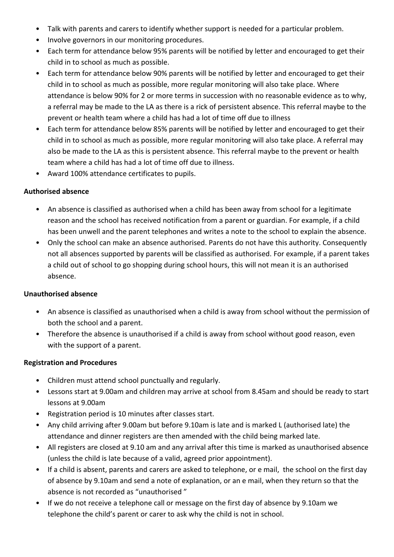- Talk with parents and carers to identify whether support is needed for a particular problem.
- Involve governors in our monitoring procedures.
- Each term for attendance below 95% parents will be notified by letter and encouraged to get their child in to school as much as possible.
- Each term for attendance below 90% parents will be notified by letter and encouraged to get their child in to school as much as possible, more regular monitoring will also take place. Where attendance is below 90% for 2 or more terms in succession with no reasonable evidence as to why, a referral may be made to the LA as there is a rick of persistent absence. This referral maybe to the prevent or health team where a child has had a lot of time off due to illness
- Each term for attendance below 85% parents will be notified by letter and encouraged to get their child in to school as much as possible, more regular monitoring will also take place. A referral may also be made to the LA as this is persistent absence. This referral maybe to the prevent or health team where a child has had a lot of time off due to illness.
- Award 100% attendance certificates to pupils.

### **Authorised absence**

- An absence is classified as authorised when a child has been away from school for a legitimate reason and the school has received notification from a parent or guardian. For example, if a child has been unwell and the parent telephones and writes a note to the school to explain the absence.
- Only the school can make an absence authorised. Parents do not have this authority. Consequently not all absences supported by parents will be classified as authorised. For example, if a parent takes a child out of school to go shopping during school hours, this will not mean it is an authorised absence.

### **Unauthorised absence**

- An absence is classified as unauthorised when a child is away from school without the permission of both the school and a parent.
- Therefore the absence is unauthorised if a child is away from school without good reason, even with the support of a parent.

### **Registration and Procedures**

- Children must attend school punctually and regularly.
- Lessons start at 9.00am and children may arrive at school from 8.45am and should be ready to start lessons at 9.00am
- Registration period is 10 minutes after classes start.
- Any child arriving after 9.00am but before 9.10am is late and is marked L (authorised late) the attendance and dinner registers are then amended with the child being marked late.
- All registers are closed at 9.10 am and any arrival after this time is marked as unauthorised absence (unless the child is late because of a valid, agreed prior appointment).
- If a child is absent, parents and carers are asked to telephone, or e mail, the school on the first day of absence by 9.10am and send a note of explanation, or an e mail, when they return so that the absence is not recorded as "unauthorised "
- If we do not receive a telephone call or message on the first day of absence by 9.10am we telephone the child's parent or carer to ask why the child is not in school.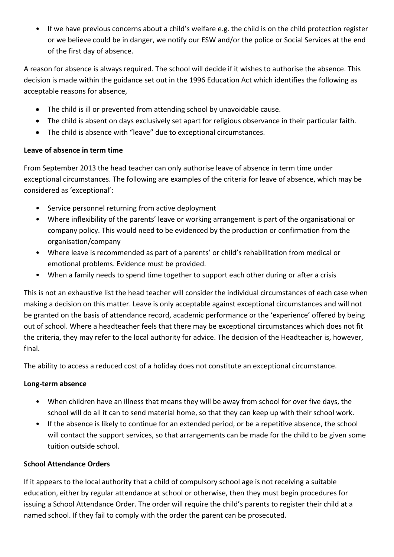• If we have previous concerns about a child's welfare e.g. the child is on the child protection register or we believe could be in danger, we notify our ESW and/or the police or Social Services at the end of the first day of absence.

A reason for absence is always required. The school will decide if it wishes to authorise the absence. This decision is made within the guidance set out in the 1996 Education Act which identifies the following as acceptable reasons for absence,

- The child is ill or prevented from attending school by unavoidable cause.
- The child is absent on days exclusively set apart for religious observance in their particular faith.
- The child is absence with "leave" due to exceptional circumstances.

# **Leave of absence in term time**

From September 2013 the head teacher can only authorise leave of absence in term time under exceptional circumstances. The following are examples of the criteria for leave of absence, which may be considered as 'exceptional':

- Service personnel returning from active deployment
- Where inflexibility of the parents' leave or working arrangement is part of the organisational or company policy. This would need to be evidenced by the production or confirmation from the organisation/company
- Where leave is recommended as part of a parents' or child's rehabilitation from medical or emotional problems. Evidence must be provided.
- When a family needs to spend time together to support each other during or after a crisis

This is not an exhaustive list the head teacher will consider the individual circumstances of each case when making a decision on this matter. Leave is only acceptable against exceptional circumstances and will not be granted on the basis of attendance record, academic performance or the 'experience' offered by being out of school. Where a headteacher feels that there may be exceptional circumstances which does not fit the criteria, they may refer to the local authority for advice. The decision of the Headteacher is, however, final.

The ability to access a reduced cost of a holiday does not constitute an exceptional circumstance.

# **Long-term absence**

- When children have an illness that means they will be away from school for over five days, the school will do all it can to send material home, so that they can keep up with their school work.
- If the absence is likely to continue for an extended period, or be a repetitive absence, the school will contact the support services, so that arrangements can be made for the child to be given some tuition outside school.

# **School Attendance Orders**

If it appears to the local authority that a child of compulsory school age is not receiving a suitable education, either by regular attendance at school or otherwise, then they must begin procedures for issuing a School Attendance Order. The order will require the child's parents to register their child at a named school. If they fail to comply with the order the parent can be prosecuted.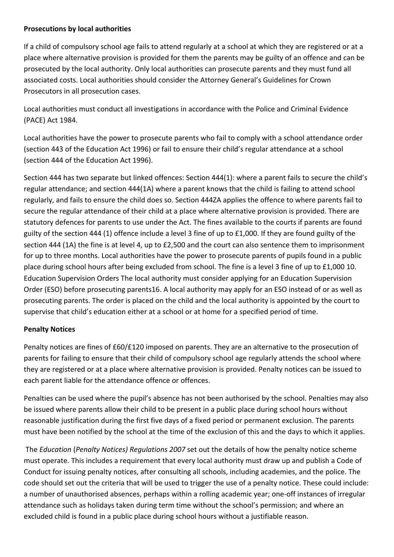### **Prosecutions by local authorities**

If a child of compulsory school age fails to attend regularly at a school at which they are registered or at a place where alternative provision is provided for them the parents may be guilty of an offence and can be prosecuted by the local authority. Only local authorities can prosecute parents and they must fund all associated costs. Local authorities should consider the Attorney General's Guidelines for Crown Prosecutors in all prosecution cases.

Local authorities must conduct all investigations in accordance with the Police and Criminal Evidence (PACE) Act 1984.

Local authorities have the power to prosecute parents who fail to comply with a school attendance order (section 443 of the Education Act 1996) or fail to ensure their child's regular attendance at a school (section 444 of the Education Act 1996).

Section 444 has two separate but linked offences: Section 444(1): where a parent fails to secure the child's regular attendance; and section 444(1A) where a parent knows that the child is failing to attend school regularly, and fails to ensure the child does so. Section 444ZA applies the offence to where parents fail to secure the regular attendance of their child at a place where alternative provision is provided. There are statutory defences for parents to use under the Act. The fines available to the courts if parents are found guilty of the section 444 (1) offence include a level 3 fine of up to £1,000. If they are found guilty of the section 444 (1A) the fine is at level 4, up to £2,500 and the court can also sentence them to imprisonment for up to three months. Local authorities have the power to prosecute parents of pupils found in a public place during school hours after being excluded from school. The fine is a level 3 fine of up to £1,000 10. Education Supervision Orders The local authority must consider applying for an Education Supervision Order (ESO) before prosecuting parents16. A local authority may apply for an ESO instead of or as well as prosecuting parents. The order is placed on the child and the local authority is appointed by the court to supervise that child's education either at a school or at home for a specified period of time.

### **Penalty Notices**

Penalty notices are fines of £60/£120 imposed on parents. They are an alternative to the prosecution of parents for failing to ensure that their child of compulsory school age regularly attends the school where they are registered or at a place where alternative provision is provided. Penalty notices can be issued to each parent liable for the attendance offence or offences.

Penalties can be used where the pupil's absence has not been authorised by the school. Penalties may also be issued where parents allow their child to be present in a public place during school hours without reasonable justification during the first five days of a fixed period or permanent exclusion. The parents must have been notified by the school at the time of the exclusion of this and the days to which it applies.

The *Education* (*Penalty Notices) Regulations 2007* set out the details of how the penalty notice scheme must operate. This includes a requirement that every local authority must draw up and publish a Code of Conduct for issuing penalty notices, after consulting all schools, including academies, and the police. The code should set out the criteria that will be used to trigger the use of a penalty notice. These could include: a number of unauthorised absences, perhaps within a rolling academic year; one-off instances of irregular attendance such as holidays taken during term time without the school's permission; and where an excluded child is found in a public place during school hours without a justifiable reason.